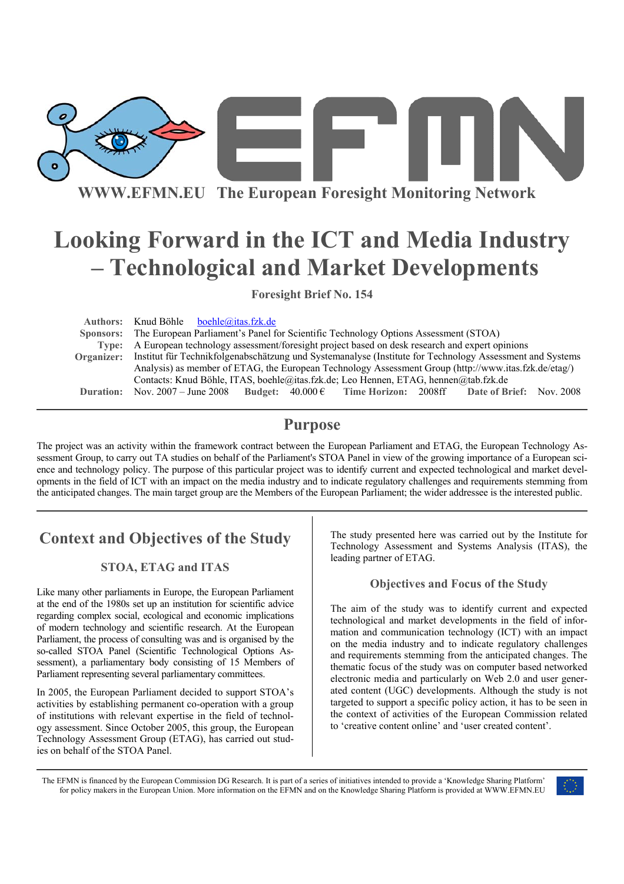

**WWW.EFMN.EU The European Foresight Monitoring Network**

# **Looking Forward in the ICT and Media Industry – Technological and Market Developments**

**Foresight Brief No. 154** 

**Authors:** Knud Böhle boehle@itas.fzk.de  **Sponsors:** The European Parliament's Panel for Scientific Technology Options Assessment (STOA) **Type:** A European technology assessment/foresight project based on desk research and expert opinions **Organizer:** Institut für Technikfolgenabschätzung und Systemanalyse (Institute for Technology Assessment and Systems Analysis) as member of ETAG, the European Technology Assessment Group (http://www.itas.fzk.de/etag/) Contacts: Knud Böhle, ITAS, boehle@itas.fzk.de; Leo Hennen, ETAG, hennen@tab.fzk.de **Duration:** Nov. 2007 – June 2008 **Budget:** 40.000 € **Time Horizon:** 2008ff **Date of Brief:** Nov. 2008

### **Purpose**

The project was an activity within the framework contract between the European Parliament and ETAG, the European Technology Assessment Group, to carry out TA studies on behalf of the Parliament's STOA Panel in view of the growing importance of a European science and technology policy. The purpose of this particular project was to identify current and expected technological and market developments in the field of ICT with an impact on the media industry and to indicate regulatory challenges and requirements stemming from the anticipated changes. The main target group are the Members of the European Parliament; the wider addressee is the interested public.

# **Context and Objectives of the Study**

### **STOA, ETAG and ITAS**

Like many other parliaments in Europe, the European Parliament at the end of the 1980s set up an institution for scientific advice regarding complex social, ecological and economic implications of modern technology and scientific research. At the European Parliament, the process of consulting was and is organised by the so-called STOA Panel (Scientific Technological Options Assessment), a parliamentary body consisting of 15 Members of Parliament representing several parliamentary committees.

In 2005, the European Parliament decided to support STOA's activities by establishing permanent co-operation with a group of institutions with relevant expertise in the field of technology assessment. Since October 2005, this group, the European Technology Assessment Group (ETAG), has carried out studies on behalf of the STOA Panel.

The study presented here was carried out by the Institute for Technology Assessment and Systems Analysis (ITAS), the leading partner of ETAG.

### **Objectives and Focus of the Study**

The aim of the study was to identify current and expected technological and market developments in the field of information and communication technology (ICT) with an impact on the media industry and to indicate regulatory challenges and requirements stemming from the anticipated changes. The thematic focus of the study was on computer based networked electronic media and particularly on Web 2.0 and user generated content (UGC) developments. Although the study is not targeted to support a specific policy action, it has to be seen in the context of activities of the European Commission related to 'creative content online' and 'user created content'.

The EFMN is financed by the European Commission DG Research. It is part of a series of initiatives intended to provide a 'Knowledge Sharing Platform' for policy makers in the European Union. More information on the EFMN and on the Knowledge Sharing Platform is provided at WWW.EFMN.EU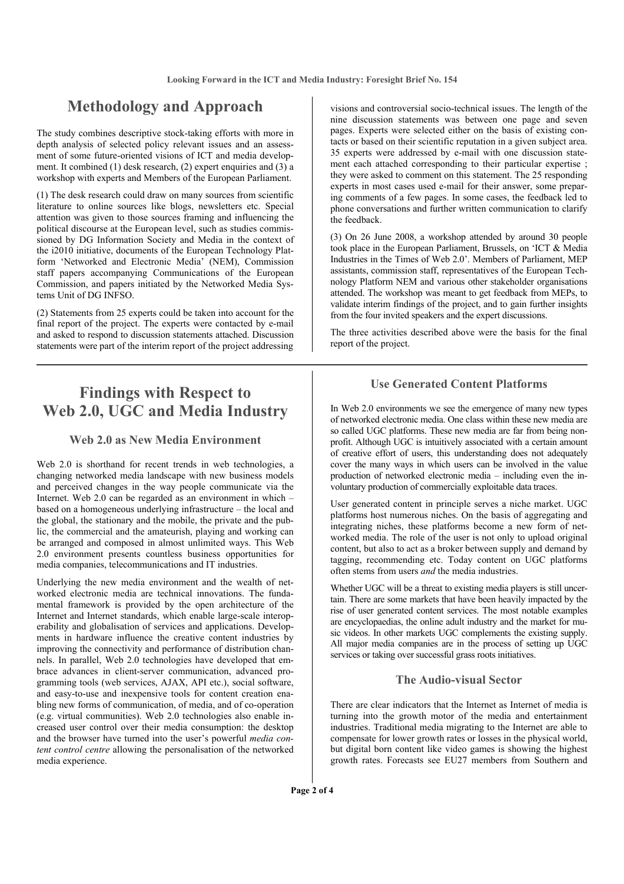### **Methodology and Approach**

The study combines descriptive stock-taking efforts with more in depth analysis of selected policy relevant issues and an assessment of some future-oriented visions of ICT and media development. It combined (1) desk research, (2) expert enquiries and (3) a workshop with experts and Members of the European Parliament.

(1) The desk research could draw on many sources from scientific literature to online sources like blogs, newsletters etc. Special attention was given to those sources framing and influencing the political discourse at the European level, such as studies commissioned by DG Information Society and Media in the context of the i2010 initiative, documents of the European Technology Platform 'Networked and Electronic Media' (NEM), Commission staff papers accompanying Communications of the European Commission, and papers initiated by the Networked Media Systems Unit of DG INFSO.

(2) Statements from 25 experts could be taken into account for the final report of the project. The experts were contacted by e-mail and asked to respond to discussion statements attached. Discussion statements were part of the interim report of the project addressing

# **Findings with Respect to Web 2.0, UGC and Media Industry**

### **Web 2.0 as New Media Environment**

Web 2.0 is shorthand for recent trends in web technologies, a changing networked media landscape with new business models and perceived changes in the way people communicate via the Internet. Web 2.0 can be regarded as an environment in which – based on a homogeneous underlying infrastructure – the local and the global, the stationary and the mobile, the private and the public, the commercial and the amateurish, playing and working can be arranged and composed in almost unlimited ways. This Web 2.0 environment presents countless business opportunities for media companies, telecommunications and IT industries.

Underlying the new media environment and the wealth of networked electronic media are technical innovations. The fundamental framework is provided by the open architecture of the Internet and Internet standards, which enable large-scale interoperability and globalisation of services and applications. Developments in hardware influence the creative content industries by improving the connectivity and performance of distribution channels. In parallel, Web 2.0 technologies have developed that embrace advances in client-server communication, advanced programming tools (web services, AJAX, API etc.), social software, and easy-to-use and inexpensive tools for content creation enabling new forms of communication, of media, and of co-operation (e.g. virtual communities). Web 2.0 technologies also enable increased user control over their media consumption: the desktop and the browser have turned into the user's powerful *media content control centre* allowing the personalisation of the networked media experience.

visions and controversial socio-technical issues. The length of the nine discussion statements was between one page and seven pages. Experts were selected either on the basis of existing contacts or based on their scientific reputation in a given subject area. 35 experts were addressed by e-mail with one discussion statement each attached corresponding to their particular expertise ; they were asked to comment on this statement. The 25 responding experts in most cases used e-mail for their answer, some preparing comments of a few pages. In some cases, the feedback led to phone conversations and further written communication to clarify the feedback.

(3) On 26 June 2008, a workshop attended by around 30 people took place in the European Parliament, Brussels, on 'ICT & Media Industries in the Times of Web 2.0'. Members of Parliament, MEP assistants, commission staff, representatives of the European Technology Platform NEM and various other stakeholder organisations attended. The workshop was meant to get feedback from MEPs, to validate interim findings of the project, and to gain further insights from the four invited speakers and the expert discussions.

The three activities described above were the basis for the final report of the project.

### **Use Generated Content Platforms**

In Web 2.0 environments we see the emergence of many new types of networked electronic media. One class within these new media are so called UGC platforms. These new media are far from being nonprofit. Although UGC is intuitively associated with a certain amount of creative effort of users, this understanding does not adequately cover the many ways in which users can be involved in the value production of networked electronic media – including even the involuntary production of commercially exploitable data traces.

User generated content in principle serves a niche market. UGC platforms host numerous niches. On the basis of aggregating and integrating niches, these platforms become a new form of networked media. The role of the user is not only to upload original content, but also to act as a broker between supply and demand by tagging, recommending etc. Today content on UGC platforms often stems from users *and* the media industries.

Whether UGC will be a threat to existing media players is still uncertain. There are some markets that have been heavily impacted by the rise of user generated content services. The most notable examples are encyclopaedias, the online adult industry and the market for music videos. In other markets UGC complements the existing supply. All major media companies are in the process of setting up UGC services or taking over successful grass roots initiatives.

#### **The Audio-visual Sector**

There are clear indicators that the Internet as Internet of media is turning into the growth motor of the media and entertainment industries. Traditional media migrating to the Internet are able to compensate for lower growth rates or losses in the physical world, but digital born content like video games is showing the highest growth rates. Forecasts see EU27 members from Southern and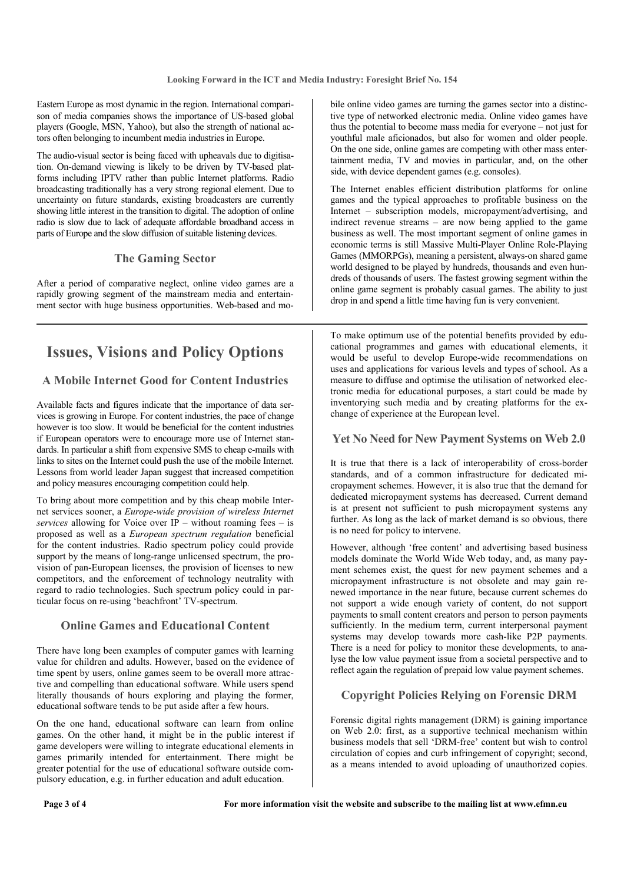Eastern Europe as most dynamic in the region. International comparison of media companies shows the importance of US-based global players (Google, MSN, Yahoo), but also the strength of national actors often belonging to incumbent media industries in Europe.

The audio-visual sector is being faced with upheavals due to digitisation. On-demand viewing is likely to be driven by TV-based platforms including IPTV rather than public Internet platforms. Radio broadcasting traditionally has a very strong regional element. Due to uncertainty on future standards, existing broadcasters are currently showing little interest in the transition to digital. The adoption of online radio is slow due to lack of adequate affordable broadband access in parts of Europe and the slow diffusion of suitable listening devices.

### **The Gaming Sector**

After a period of comparative neglect, online video games are a rapidly growing segment of the mainstream media and entertainment sector with huge business opportunities. Web-based and mo-

# **Issues, Visions and Policy Options**

### **A Mobile Internet Good for Content Industries**

Available facts and figures indicate that the importance of data services is growing in Europe. For content industries, the pace of change however is too slow. It would be beneficial for the content industries if European operators were to encourage more use of Internet standards. In particular a shift from expensive SMS to cheap e-mails with links to sites on the Internet could push the use of the mobile Internet. Lessons from world leader Japan suggest that increased competition and policy measures encouraging competition could help.

To bring about more competition and by this cheap mobile Internet services sooner, a *Europe-wide provision of wireless Internet services* allowing for Voice over  $IP$  – without roaming fees – is proposed as well as a *European spectrum regulation* beneficial for the content industries. Radio spectrum policy could provide support by the means of long-range unlicensed spectrum, the provision of pan-European licenses, the provision of licenses to new competitors, and the enforcement of technology neutrality with regard to radio technologies. Such spectrum policy could in particular focus on re-using 'beachfront' TV-spectrum.

#### **Online Games and Educational Content**

There have long been examples of computer games with learning value for children and adults. However, based on the evidence of time spent by users, online games seem to be overall more attractive and compelling than educational software. While users spend literally thousands of hours exploring and playing the former, educational software tends to be put aside after a few hours.

On the one hand, educational software can learn from online games. On the other hand, it might be in the public interest if game developers were willing to integrate educational elements in games primarily intended for entertainment. There might be greater potential for the use of educational software outside compulsory education, e.g. in further education and adult education.

bile online video games are turning the games sector into a distinctive type of networked electronic media. Online video games have thus the potential to become mass media for everyone – not just for youthful male aficionados, but also for women and older people. On the one side, online games are competing with other mass entertainment media, TV and movies in particular, and, on the other side, with device dependent games (e.g. consoles).

The Internet enables efficient distribution platforms for online games and the typical approaches to profitable business on the Internet – subscription models, micropayment/advertising, and indirect revenue streams – are now being applied to the game business as well. The most important segment of online games in economic terms is still Massive Multi-Player Online Role-Playing Games (MMORPGs), meaning a persistent, always-on shared game world designed to be played by hundreds, thousands and even hundreds of thousands of users. The fastest growing segment within the online game segment is probably casual games. The ability to just drop in and spend a little time having fun is very convenient.

To make optimum use of the potential benefits provided by educational programmes and games with educational elements, it would be useful to develop Europe-wide recommendations on uses and applications for various levels and types of school. As a measure to diffuse and optimise the utilisation of networked electronic media for educational purposes, a start could be made by inventorying such media and by creating platforms for the exchange of experience at the European level.

#### **Yet No Need for New Payment Systems on Web 2.0**

It is true that there is a lack of interoperability of cross-border standards, and of a common infrastructure for dedicated micropayment schemes. However, it is also true that the demand for dedicated micropayment systems has decreased. Current demand is at present not sufficient to push micropayment systems any further. As long as the lack of market demand is so obvious, there is no need for policy to intervene.

However, although 'free content' and advertising based business models dominate the World Wide Web today, and, as many payment schemes exist, the quest for new payment schemes and a micropayment infrastructure is not obsolete and may gain renewed importance in the near future, because current schemes do not support a wide enough variety of content, do not support payments to small content creators and person to person payments sufficiently. In the medium term, current interpersonal payment systems may develop towards more cash-like P2P payments. There is a need for policy to monitor these developments, to analyse the low value payment issue from a societal perspective and to reflect again the regulation of prepaid low value payment schemes.

### **Copyright Policies Relying on Forensic DRM**

Forensic digital rights management (DRM) is gaining importance on Web 2.0: first, as a supportive technical mechanism within business models that sell 'DRM-free' content but wish to control circulation of copies and curb infringement of copyright; second, as a means intended to avoid uploading of unauthorized copies.